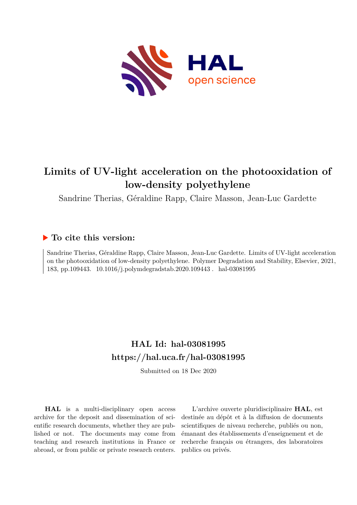

# **Limits of UV-light acceleration on the photooxidation of low-density polyethylene**

Sandrine Therias, Géraldine Rapp, Claire Masson, Jean-Luc Gardette

# **To cite this version:**

Sandrine Therias, Géraldine Rapp, Claire Masson, Jean-Luc Gardette. Limits of UV-light acceleration on the photooxidation of low-density polyethylene. Polymer Degradation and Stability, Elsevier, 2021, 183, pp.109443. 10.1016/j.polymdegradstab.2020.109443. hal-03081995

# **HAL Id: hal-03081995 <https://hal.uca.fr/hal-03081995>**

Submitted on 18 Dec 2020

**HAL** is a multi-disciplinary open access archive for the deposit and dissemination of scientific research documents, whether they are published or not. The documents may come from teaching and research institutions in France or abroad, or from public or private research centers.

L'archive ouverte pluridisciplinaire **HAL**, est destinée au dépôt et à la diffusion de documents scientifiques de niveau recherche, publiés ou non, émanant des établissements d'enseignement et de recherche français ou étrangers, des laboratoires publics ou privés.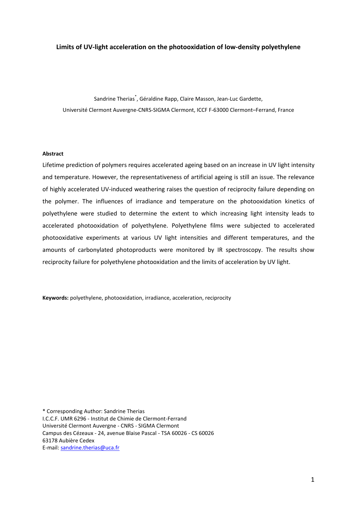### **Limits of UV-light acceleration on the photooxidation of low-density polyethylene**

Sandrine Therias\* , Géraldine Rapp, Claire Masson, Jean-Luc Gardette, Université Clermont Auvergne-CNRS-SIGMA Clermont, ICCF F-63000 Clermont–Ferrand, France

## **Abstract**

Lifetime prediction of polymers requires accelerated ageing based on an increase in UV light intensity and temperature. However, the representativeness of artificial ageing is still an issue. The relevance of highly accelerated UV-induced weathering raises the question of reciprocity failure depending on the polymer. The influences of irradiance and temperature on the photooxidation kinetics of polyethylene were studied to determine the extent to which increasing light intensity leads to accelerated photooxidation of polyethylene. Polyethylene films were subjected to accelerated photooxidative experiments at various UV light intensities and different temperatures, and the amounts of carbonylated photoproducts were monitored by IR spectroscopy. The results show reciprocity failure for polyethylene photooxidation and the limits of acceleration by UV light.

**Keywords:** polyethylene, photooxidation, irradiance, acceleration, reciprocity

\* Corresponding Author: Sandrine Therias I.C.C.F. UMR 6296 - Institut de Chimie de Clermont-Ferrand Université Clermont Auvergne - CNRS - SIGMA Clermont Campus des Cézeaux - 24, avenue Blaise Pascal - TSA 60026 - CS 60026 63178 Aubière Cedex E-mail: [sandrine.therias@uca.fr](mailto:sandrine.therias@uca.fr)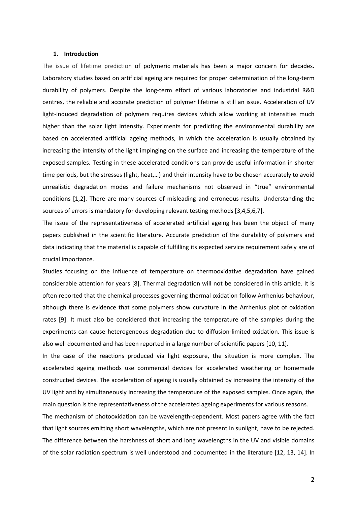#### **1. Introduction**

The issue of lifetime prediction of polymeric materials has been a major concern for decades. Laboratory studies based on artificial ageing are required for proper determination of the long-term durability of polymers. Despite the long-term effort of various laboratories and industrial R&D centres, the reliable and accurate prediction of polymer lifetime is still an issue. Acceleration of UV light-induced degradation of polymers requires devices which allow working at intensities much higher than the solar light intensity. Experiments for predicting the environmental durability are based on accelerated artificial ageing methods, in which the acceleration is usually obtained by increasing the intensity of the light impinging on the surface and increasing the temperature of the exposed samples. Testing in these accelerated conditions can provide useful information in shorter time periods, but the stresses (light, heat,…) and their intensity have to be chosen accurately to avoid unrealistic degradation modes and failure mechanisms not observed in "true" environmental conditions [1,2]. There are many sources of misleading and erroneous results. Understanding the sources of errors is mandatory for developing relevant testing methods [3,4,5,6,7].

The issue of the representativeness of accelerated artificial ageing has been the object of many papers published in the scientific literature. Accurate prediction of the durability of polymers and data indicating that the material is capable of fulfilling its expected service requirement safely are of crucial importance.

Studies focusing on the influence of temperature on thermooxidative degradation have gained considerable attention for years [8]. Thermal degradation will not be considered in this article. It is often reported that the chemical processes governing thermal oxidation follow Arrhenius behaviour, although there is evidence that some polymers show curvature in the Arrhenius plot of oxidation rates [9]. It must also be considered that increasing the temperature of the samples during the experiments can cause heterogeneous degradation due to diffusion-limited oxidation. This issue is also well documented and has been reported in a large number of scientific papers [10, 11].

<span id="page-2-2"></span><span id="page-2-1"></span><span id="page-2-0"></span>In the case of the reactions produced via light exposure, the situation is more complex. The accelerated ageing methods use commercial devices for accelerated weathering or homemade constructed devices. The acceleration of ageing is usually obtained by increasing the intensity of the UV light and by simultaneously increasing the temperature of the exposed samples. Once again, the main question is the representativeness of the accelerated ageing experiments for various reasons.

The mechanism of photooxidation can be wavelength-dependent. Most papers agree with the fact that light sources emitting short wavelengths, which are not present in sunlight, have to be rejected. The difference between the harshness of short and long wavelengths in the UV and visible domains of the solar radiation spectrum is well understood and documented in the literature [12, 13, 14]. In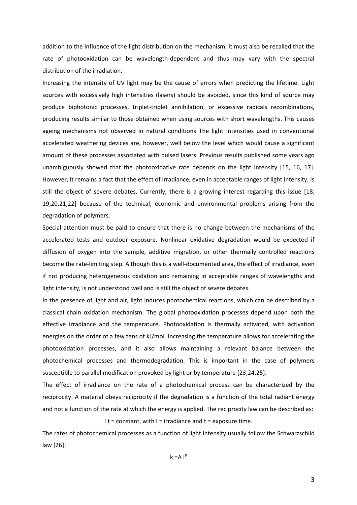addition to the influence of the light distribution on the mechanism, it must also be recalled that the rate of photooxidation can be wavelength-dependent and thus may vary with the spectral distribution of the irradiation.

Increasing the intensity of UV light may be the cause of errors when predicting the lifetime. Light sources with excessively high intensities (lasers) should be avoided, since this kind of source may produce biphotonic processes, triplet-triplet annihilation, or excessive radicals recombinations, producing results similar to those obtained when using sources with short wavelengths. This causes ageing mechanisms not observed in natural conditions The light intensities used in conventional accelerated weathering devices are, however, well below the level which would cause a significant amount of these processes associated with pulsed lasers. Previous results published some years ago unambiguously showed that the photooxidative rate depends on the light intensity [15, 16, 17]. However, it remains a fact that the effect of irradiance, even in acceptable ranges of light intensity, is still the object of severe debates. Currently, there is a growing interest regarding this issue [18, 19,20,21,22] because of the technical, economic and environmental problems arising from the degradation of polymers.

<span id="page-3-1"></span><span id="page-3-0"></span>Special attention must be paid to ensure that there is no change between the mechanisms of the accelerated tests and outdoor exposure. Nonlinear oxidative degradation would be expected if diffusion of oxygen into the sample, additive migration, or other thermally controlled reactions become the rate-limiting step. Although this is a well-documented area, the effect of irradiance, even if not producing heterogeneous oxidation and remaining in acceptable ranges of wavelengths and light intensity, is not understood well and is still the object of severe debates.

In the presence of light and air, light induces photochemical reactions, which can be described by a classical chain oxidation mechanism. The global photooxidation processes depend upon both the effective irradiance and the temperature. Photooxidation is thermally activated, with activation energies on the order of a few tens of kJ/mol. Increasing the temperature allows for accelerating the photooxidation processes, and it also allows maintaining a relevant balance between the photochemical processes and thermodegradation. This is important in the case of polymers susceptible to parallel modification provoked by light or by temperature [23,24,25].

The effect of irradiance on the rate of a photochemical process can be characterized by the reciprocity. A material obeys reciprocity if the degradation is a function of the total radiant energy and not a function of the rate at which the energy is applied. The reciprocity law can be described as:

I  $t = constant$ , with  $l = irradiance$  and  $t = exposure time$ .

The rates of photochemical processes as a function of light intensity usually follow the Schwarzschild law [26]:

 $k = A \cdot P$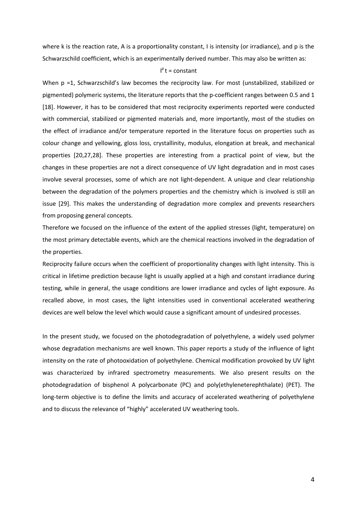where k is the reaction rate, A is a proportionality constant, I is intensity (or irradiance), and p is the Schwarzschild coefficient, which is an experimentally derived number. This may also be written as:

# $I<sup>p</sup>$  t = constant

When p =1, Schwarzschild's law becomes the reciprocity law. For most (unstabilized, stabilized or pigmented) polymeric systems, the literature reports that the p-coefficient ranges between 0.5 and 1 [\[18\]](#page-3-0). However, it has to be considered that most reciprocity experiments reported were conducted with commercial, stabilized or pigmented materials and, more importantly, most of the studies on the effect of irradiance and/or temperature reported in the literature focus on properties such as colour change and yellowing, gloss loss, crystallinity, modulus, elongation at break, and mechanical properties [\[20,](#page-3-1)27,28]. These properties are interesting from a practical point of view, but the changes in these properties are not a direct consequence of UV light degradation and in most cases involve several processes, some of which are not light-dependent. A unique and clear relationship between the degradation of the polymers properties and the chemistry which is involved is still an issue [29]. This makes the understanding of degradation more complex and prevents researchers from proposing general concepts.

Therefore we focused on the influence of the extent of the applied stresses (light, temperature) on the most primary detectable events, which are the chemical reactions involved in the degradation of the properties.

Reciprocity failure occurs when the coefficient of proportionality changes with light intensity. This is critical in lifetime prediction because light is usually applied at a high and constant irradiance during testing, while in general, the usage conditions are lower irradiance and cycles of light exposure. As recalled above, in most cases, the light intensities used in conventional accelerated weathering devices are well below the level which would cause a significant amount of undesired processes.

In the present study, we focused on the photodegradation of polyethylene, a widely used polymer whose degradation mechanisms are well known. This paper reports a study of the influence of light intensity on the rate of photooxidation of polyethylene. Chemical modification provoked by UV light was characterized by infrared spectrometry measurements. We also present results on the photodegradation of bisphenol A polycarbonate (PC) and poly(ethyleneterephthalate) (PET). The long-term objective is to define the limits and accuracy of accelerated weathering of polyethylene and to discuss the relevance of "highly" accelerated UV weathering tools.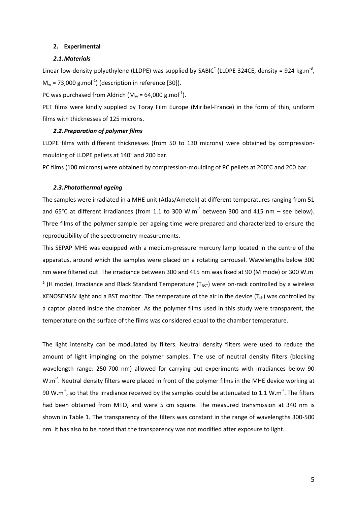#### **2. Experimental**

#### <span id="page-5-0"></span>*2.1.Materials*

Linear low-density polyethylene (LLDPE) was supplied by SABIC<sup>®</sup> (LLDPE 324CE, density = 924 kg.m<sup>-3</sup>,  $M_w$  = 73,000 g.mol<sup>-1</sup>) (description in reference [30]).

PC was purchased from Aldrich ( $M_w = 64,000$  g.mol<sup>-1</sup>).

PET films were kindly supplied by Toray Film Europe (Miribel-France) in the form of thin, uniform films with thicknesses of 125 microns.

#### *2.2.Preparation of polymer films*

LLDPE films with different thicknesses (from 50 to 130 microns) were obtained by compressionmoulding of LLDPE pellets at 140° and 200 bar.

PC films (100 microns) were obtained by compression-moulding of PC pellets at 200°C and 200 bar.

### *2.3.Photothermal ageing*

The samples were irradiated in a MHE unit (Atlas/Ametek) at different temperatures ranging from 51 and 65°C at different irradiances (from 1.1 to 300 W.m<sup>-2</sup> between 300 and 415 nm – see below). Three films of the polymer sample per ageing time were prepared and characterized to ensure the reproducibility of the spectrometry measurements.

This SEPAP MHE was equipped with a medium-pressure mercury lamp located in the centre of the apparatus, around which the samples were placed on a rotating carrousel. Wavelengths below 300 nm were filtered out. The irradiance between 300 and 415 nm was fixed at 90 (M mode) or 300 W.m- <sup>2</sup> (H mode). Irradiance and Black Standard Temperature ( $T_{\text{BST}}$ ) were on-rack controlled by a wireless XENOSENSIV light and a BST monitor. The temperature of the air in the device  $(T_{ch})$  was controlled by a captor placed inside the chamber. As the polymer films used in this study were transparent, the temperature on the surface of the films was considered equal to the chamber temperature.

The light intensity can be modulated by filters. Neutral density filters were used to reduce the amount of light impinging on the polymer samples. The use of neutral density filters (blocking wavelength range: 250-700 nm) allowed for carrying out experiments with irradiances below 90 W.m<sup>-2</sup>. Neutral density filters were placed in front of the polymer films in the MHE device working at 90 W.m<sup>-2</sup>, so that the irradiance received by the samples could be attenuated to 1.1 W.m<sup>-2</sup>. The filters had been obtained from MTO, and were 5 cm square. The measured transmission at 340 nm is shown in Table 1. The transparency of the filters was constant in the range of wavelengths 300-500 nm. It has also to be noted that the transparency was not modified after exposure to light.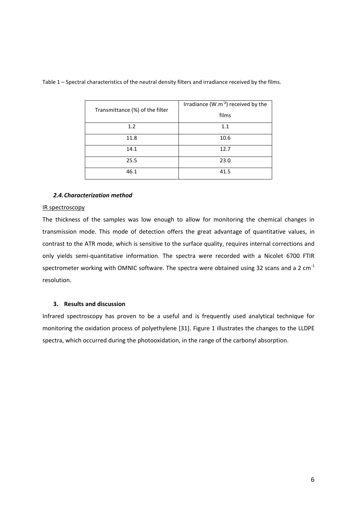| Transmittance (%) of the filter | Irradiance $(W.m-2)$ received by the |
|---------------------------------|--------------------------------------|
|                                 | films                                |
| 1.2                             | 1.1                                  |
| 11.8                            | 10.6                                 |
| 14.1                            | 12.7                                 |
| 25.5                            | 23.0                                 |
| 46.1                            | 41.5                                 |

Table 1 – Spectral characteristics of the neutral density filters and irradiance received by the films.

## *2.4.Characterization method*

### IR spectroscopy

The thickness of the samples was low enough to allow for monitoring the chemical changes in transmission mode. This mode of detection offers the great advantage of quantitative values, in contrast to the ATR mode, which is sensitive to the surface quality, requires internal corrections and only yields semi-quantitative information. The spectra were recorded with a Nicolet 6700 FTIR spectrometer working with OMNIC software. The spectra were obtained using 32 scans and a 2  $cm^{-1}$ resolution.

# **3. Results and discussion**

Infrared spectroscopy has proven to be a useful and is frequently used analytical technique for monitoring the oxidation process of polyethylene [31]. Figure 1 illustrates the changes to the LLDPE spectra, which occurred during the photooxidation, in the range of the carbonyl absorption.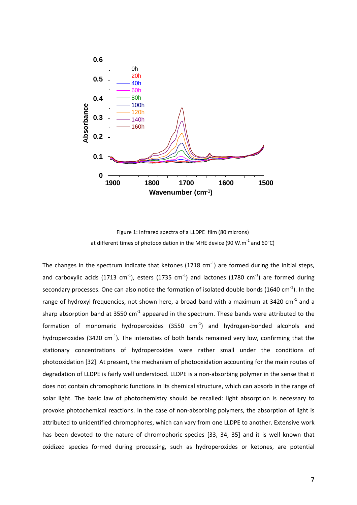

<span id="page-7-0"></span>Figure 1: Infrared spectra of a LLDPE film (80 microns) at different times of photooxidation in the MHE device (90 W.m<sup>-2</sup> and 60°C)

The changes in the spectrum indicate that ketones (1718 cm<sup>-1</sup>) are formed during the initial steps, and carboxylic acids (1713 cm<sup>-1</sup>), esters (1735 cm<sup>-1</sup>) and lactones (1780 cm<sup>-1</sup>) are formed during secondary processes. One can also notice the formation of isolated double bonds (1640 cm<sup>-1</sup>). In the range of hydroxyl frequencies, not shown here, a broad band with a maximum at 3420 cm<sup>-1</sup> and a sharp absorption band at 3550  $cm^{-1}$  appeared in the spectrum. These bands were attributed to the formation of monomeric hydroperoxides (3550  $cm^{-1}$ ) and hydrogen-bonded alcohols and hydroperoxides (3420  $cm^{-1}$ ). The intensities of both bands remained very low, confirming that the stationary concentrations of hydroperoxides were rather small under the conditions of photooxidation [32]. At present, the mechanism of photooxidation accounting for the main routes of degradation of LLDPE is fairly well understood. LLDPE is a non-absorbing polymer in the sense that it does not contain chromophoric functions in its chemical structure, which can absorb in the range of solar light. The basic law of photochemistry should be recalled: light absorption is necessary to provoke photochemical reactions. In the case of non-absorbing polymers, the absorption of light is attributed to unidentified chromophores, which can vary from one LLDPE to another. Extensive work has been devoted to the nature of chromophoric species [33, 34, 35] and it is well known that oxidized species formed during processing, such as hydroperoxides or ketones, are potential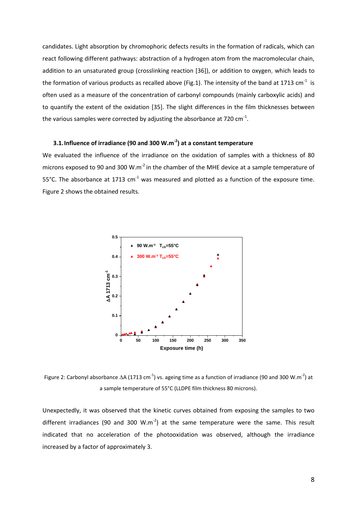candidates. Light absorption by chromophoric defects results in the formation of radicals, which can react following different pathways: abstraction of a hydrogen atom from the macromolecular chain, addition to an unsaturated group (crosslinking reaction [36]), or addition to oxygen, which leads to the formation of various products as recalled above (Fig.1). The intensity of the band at 1713 cm<sup>-1</sup> is often used as a measure of the concentration of carbonyl compounds (mainly carboxylic acids) and to quantify the extent of the oxidation [\[35\]](#page-7-0). The slight differences in the film thicknesses between the various samples were corrected by adjusting the absorbance at 720  $\text{cm}^{-1}$ .

# **3.1.Influence of irradiance (90 and 300 W.m-2 ) at a constant temperature**

We evaluated the influence of the irradiance on the oxidation of samples with a thickness of 80 microns exposed to 90 and 300 W.m<sup>-2</sup> in the chamber of the MHE device at a sample temperature of 55°C. The absorbance at 1713  $cm^{-1}$  was measured and plotted as a function of the exposure time. Figure 2 shows the obtained results.



Figure 2: Carbonyl absorbance  $\Delta A$  (1713 cm<sup>-1</sup>) vs. ageing time as a function of irradiance (90 and 300 W.m<sup>-2</sup>) at a sample temperature of 55°C (LLDPE film thickness 80 microns).

Unexpectedly, it was observed that the kinetic curves obtained from exposing the samples to two different irradiances (90 and 300 W.m<sup>-2</sup>) at the same temperature were the same. This result indicated that no acceleration of the photooxidation was observed, although the irradiance increased by a factor of approximately 3.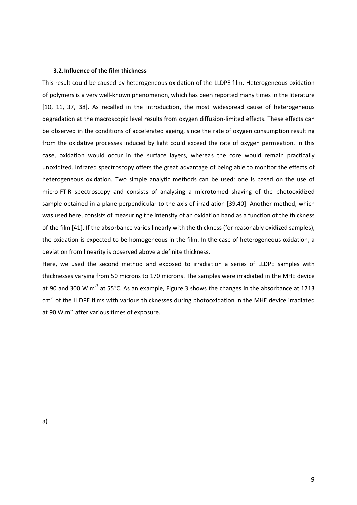#### **3.2.Influence of the film thickness**

This result could be caused by heterogeneous oxidation of the LLDPE film. Heterogeneous oxidation of polymers is a very well-known phenomenon, which has been reported many times in the literature [\[10,](#page-2-0) [11,](#page-2-1) 37, 38]. As recalled in the introduction, the most widespread cause of heterogeneous degradation at the macroscopic level results from oxygen diffusion-limited effects. These effects can be observed in the conditions of accelerated ageing, since the rate of oxygen consumption resulting from the oxidative processes induced by light could exceed the rate of oxygen permeation. In this case, oxidation would occur in the surface layers, whereas the core would remain practically unoxidized. Infrared spectroscopy offers the great advantage of being able to monitor the effects of heterogeneous oxidation. Two simple analytic methods can be used: one is based on the use of micro-FTIR spectroscopy and consists of analysing a microtomed shaving of the photooxidized sample obtained in a plane perpendicular to the axis of irradiation [39,40]. Another method, which was used here, consists of measuring the intensity of an oxidation band as a function of the thickness of the film [41]. If the absorbance varies linearly with the thickness (for reasonably oxidized samples), the oxidation is expected to be homogeneous in the film. In the case of heterogeneous oxidation, a deviation from linearity is observed above a definite thickness.

Here, we used the second method and exposed to irradiation a series of LLDPE samples with thicknesses varying from 50 microns to 170 microns. The samples were irradiated in the MHE device at 90 and 300 W.m<sup>-2</sup> at 55°C. As an example, Figure 3 shows the changes in the absorbance at 1713 cm<sup>-1</sup> of the LLDPE films with various thicknesses during photooxidation in the MHE device irradiated at 90 W.m<sup>-2</sup> after various times of exposure.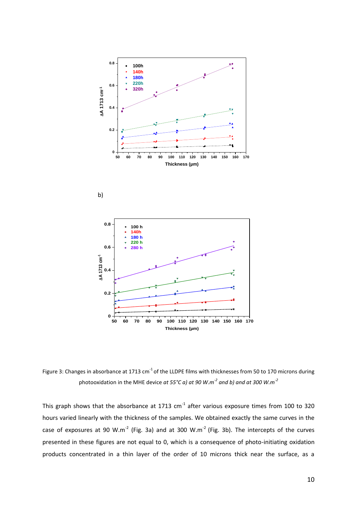





Figure 3: Changes in absorbance at 1713 cm<sup>-1</sup> of the LLDPE films with thicknesses from 50 to 170 microns during photooxidation in the MHE device *at 55°C a) at 90 W.m-2 and b) and at 300 W.m-2*

This graph shows that the absorbance at 1713 cm<sup>-1</sup> after various exposure times from 100 to 320 hours varied linearly with the thickness of the samples. We obtained exactly the same curves in the case of exposures at 90 W.m<sup>-2</sup> (Fig. 3a) and at 300 W.m<sup>-2</sup> (Fig. 3b). The intercepts of the curves presented in these figures are not equal to 0, which is a consequence of photo-initiating oxidation products concentrated in a thin layer of the order of 10 microns thick near the surface, as a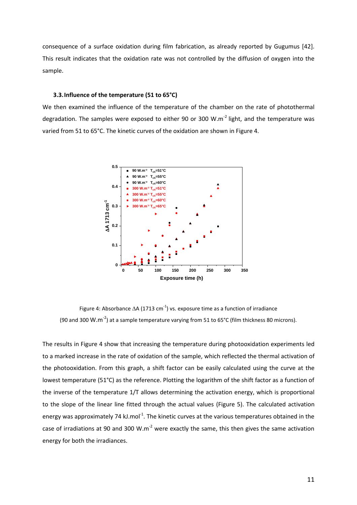consequence of a surface oxidation during film fabrication, as already reported by Gugumus [42]. This result indicates that the oxidation rate was not controlled by the diffusion of oxygen into the sample.

### **3.3.Influence of the temperature (51 to 65°C)**

We then examined the influence of the temperature of the chamber on the rate of photothermal degradation. The samples were exposed to either 90 or 300 W.m<sup>-2</sup> light, and the temperature was varied from 51 to 65°C. The kinetic curves of the oxidation are shown in Figure 4.

<span id="page-11-0"></span>

Figure 4: Absorbance  $\Delta$ A (1713 cm<sup>-1</sup>) vs. exposure time as a function of irradiance (90 and 300 W.m<sup>-2</sup>) at a sample temperature varying from 51 to 65°C (film thickness 80 microns).

The results in Figure 4 show that increasing the temperature during photooxidation experiments led to a marked increase in the rate of oxidation of the sample, which reflected the thermal activation of the photooxidation. From this graph, a shift factor can be easily calculated using the curve at the lowest temperature (51°C) as the reference. Plotting the logarithm of the shift factor as a function of the inverse of the temperature 1/T allows determining the activation energy, which is proportional to the slope of the linear line fitted through the actual values (Figure 5). The calculated activation energy was approximately 74 kJ.mol<sup>-1</sup>. The kinetic curves at the various temperatures obtained in the case of irradiations at 90 and 300 W.m<sup>-2</sup> were exactly the same, this then gives the same activation energy for both the irradiances.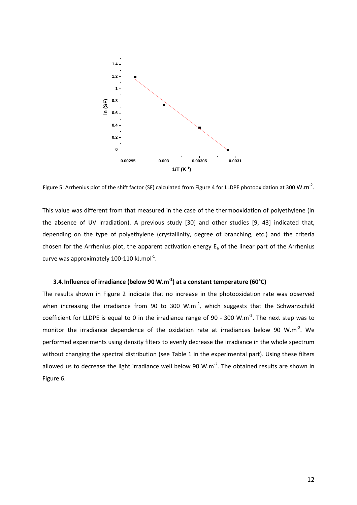

Figure 5: Arrhenius plot of the shift factor (SF) calculated from Figure 4 for LLDPE photooxidation at 300 W.m<sup>-2</sup>.

This value was different from that measured in the case of the thermooxidation of polyethylene (in the absence of UV irradiation). A previous study [\[30\]](#page-5-0) and other studies [\[9,](#page-2-2) 43] indicated that, depending on the type of polyethylene (crystallinity, degree of branching, etc.) and the criteria chosen for the Arrhenius plot, the apparent activation energy  $E<sub>a</sub>$  of the linear part of the Arrhenius curve was approximately 100-110 kJ.mol<sup>-1</sup>.

# **3.4.Influence of irradiance (below 90 W.m-2 ) at a constant temperature (60°C)**

The results shown in Figure 2 indicate that no increase in the photooxidation rate was observed when increasing the irradiance from 90 to 300 W.m<sup>-2</sup>, which suggests that the Schwarzschild coefficient for LLDPE is equal to 0 in the irradiance range of 90 - 300 W.m<sup>-2</sup>. The next step was to monitor the irradiance dependence of the oxidation rate at irradiances below 90 W.m<sup>-2</sup>. We performed experiments using density filters to evenly decrease the irradiance in the whole spectrum without changing the spectral distribution (see Table 1 in the experimental part). Using these filters allowed us to decrease the light irradiance well below 90 W.m<sup>-2</sup>. The obtained results are shown in Figure 6.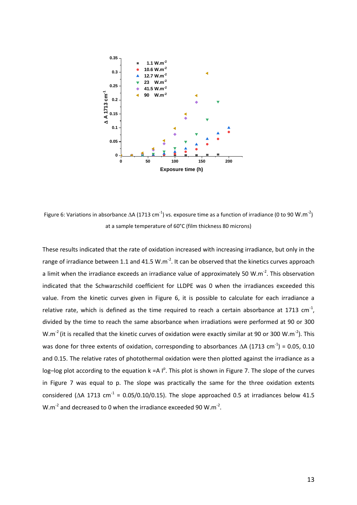

Figure 6: Variations in absorbance  $\Delta A$  (1713 cm<sup>-1</sup>) vs. exposure time as a function of irradiance (0 to 90 W.m<sup>-2</sup>) at a sample temperature of 60°C (film thickness 80 microns)

These results indicated that the rate of oxidation increased with increasing irradiance, but only in the range of irradiance between 1.1 and 41.5 W.m<sup>-2</sup>. It can be observed that the kinetics curves approach a limit when the irradiance exceeds an irradiance value of approximately 50 W.m<sup>-2</sup>. This observation indicated that the Schwarzschild coefficient for LLDPE was 0 when the irradiances exceeded this value. From the kinetic curves given in Figure 6, it is possible to calculate for each irradiance a relative rate, which is defined as the time required to reach a certain absorbance at 1713 cm<sup>-1</sup>, divided by the time to reach the same absorbance when irradiations were performed at 90 or 300 W.m<sup>-2</sup> (it is recalled that the kinetic curves of oxidation were exactly similar at 90 or 300 W.m<sup>-2</sup>). This was done for three extents of oxidation, corresponding to absorbances  $\Delta A$  (1713 cm<sup>-1</sup>) = 0.05, 0.10 and 0.15. The relative rates of photothermal oxidation were then plotted against the irradiance as a log-log plot according to the equation  $k = A \int_{a}^{p}$ . This plot is shown in Figure 7. The slope of the curves in Figure 7 was equal to p. The slope was practically the same for the three oxidation extents considered ( $\Delta$ A 1713 cm<sup>-1</sup> = 0.05/0.10/0.15). The slope approached 0.5 at irradiances below 41.5  $W.m^{-2}$  and decreased to 0 when the irradiance exceeded 90  $W.m^{-2}$ .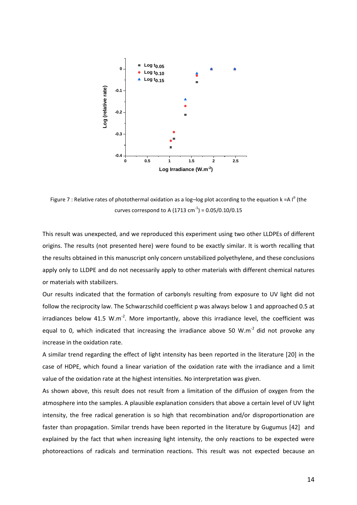

Figure 7 : Relative rates of photothermal oxidation as a log-log plot according to the equation k =A  $I^p$  (the curves correspond to A (1713 cm<sup>-1</sup>) = 0.05/0.10/0.15

This result was unexpected, and we reproduced this experiment using two other LLDPEs of different origins. The results (not presented here) were found to be exactly similar. It is worth recalling that the results obtained in this manuscript only concern unstabilized polyethylene, and these conclusions apply only to LLDPE and do not necessarily apply to other materials with different chemical natures or materials with stabilizers.

Our results indicated that the formation of carbonyls resulting from exposure to UV light did not follow the reciprocity law. The Schwarzschild coefficient p was always below 1 and approached 0.5 at irradiances below 41.5 W.m<sup>-2</sup>. More importantly, above this irradiance level, the coefficient was equal to 0, which indicated that increasing the irradiance above 50 W.m<sup>-2</sup> did not provoke any increase in the oxidation rate.

A similar trend regarding the effect of light intensity has been reported in the literature [\[20\]](#page-3-1) in the case of HDPE, which found a linear variation of the oxidation rate with the irradiance and a limit value of the oxidation rate at the highest intensities. No interpretation was given.

As shown above, this result does not result from a limitation of the diffusion of oxygen from the atmosphere into the samples. A plausible explanation considers that above a certain level of UV light intensity, the free radical generation is so high that recombination and/or disproportionation are faster than propagation. Similar trends have been reported in the literature by Gugumus [\[42\]](#page-11-0) and explained by the fact that when increasing light intensity, the only reactions to be expected were photoreactions of radicals and termination reactions. This result was not expected because an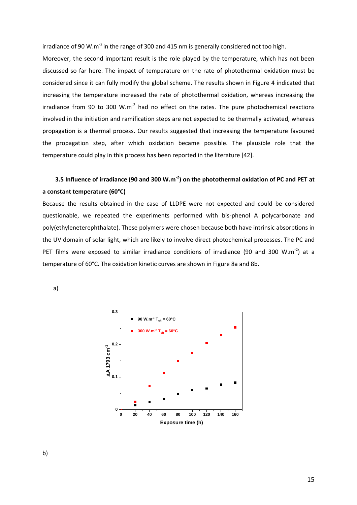irradiance of 90 W.m<sup>-2</sup> in the range of 300 and 415 nm is generally considered not too high.

Moreover, the second important result is the role played by the temperature, which has not been discussed so far here. The impact of temperature on the rate of photothermal oxidation must be considered since it can fully modify the global scheme. The results shown in Figure 4 indicated that increasing the temperature increased the rate of photothermal oxidation, whereas increasing the irradiance from 90 to 300 W.m<sup>-2</sup> had no effect on the rates. The pure photochemical reactions involved in the initiation and ramification steps are not expected to be thermally activated, whereas propagation is a thermal process. Our results suggested that increasing the temperature favoured the propagation step, after which oxidation became possible. The plausible role that the temperature could play in this process has been reported in the literature [\[42\]](#page-11-0).

# **3.5 Influence of irradiance (90 and 300 W.m-2 ) on the photothermal oxidation of PC and PET at a constant temperature (60°C)**

Because the results obtained in the case of LLDPE were not expected and could be considered questionable, we repeated the experiments performed with bis-phenol A polycarbonate and poly(ethyleneterephthalate). These polymers were chosen because both have intrinsic absorptions in the UV domain of solar light, which are likely to involve direct photochemical processes. The PC and PET films were exposed to similar irradiance conditions of irradiance (90 and 300 W.m<sup>-2</sup>) at a temperature of 60°C. The oxidation kinetic curves are shown in Figure 8a and 8b.

a)



b)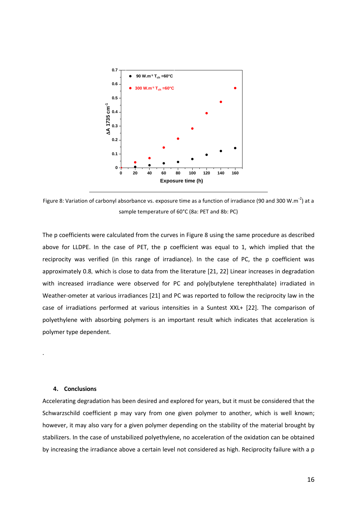

Figure 8: Variation of carbonyl absorbance vs. exposure time as a function of irradiance (90 and 300 W.m<sup>-2</sup>) at a sample temperature of 60°C (8a: PET and 8b: PC)

The p coefficients were calculated from the curves in Figure 8 using the same procedure as described above for LLDPE. In the case of PET, the p coefficient was equal to 1, which implied that the reciprocity was verified (in this range of irradiance). In the case of PC, the p coefficient was approximately 0.8*,* which is close to data from the literature [21, 22] Linear increases in degradation with increased irradiance were observed for PC and poly(butylene terephthalate) irradiated in Weather-ometer at various irradiances [21] and PC was reported to follow the reciprocity law in the case of irradiations performed at various intensities in a Suntest XXL+ [22]. The comparison of polyethylene with absorbing polymers is an important result which indicates that acceleration is polymer type dependent.

#### **4. Conclusions**

.

Accelerating degradation has been desired and explored for years, but it must be considered that the Schwarzschild coefficient p may vary from one given polymer to another, which is well known; however, it may also vary for a given polymer depending on the stability of the material brought by stabilizers. In the case of unstabilized polyethylene, no acceleration of the oxidation can be obtained by increasing the irradiance above a certain level not considered as high. Reciprocity failure with a p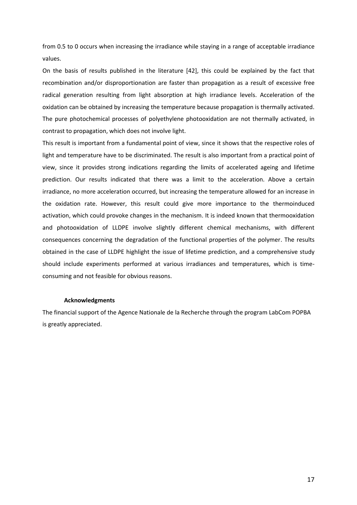from 0.5 to 0 occurs when increasing the irradiance while staying in a range of acceptable irradiance values.

On the basis of results published in the literature [\[42\]](#page-11-0), this could be explained by the fact that recombination and/or disproportionation are faster than propagation as a result of excessive free radical generation resulting from light absorption at high irradiance levels. Acceleration of the oxidation can be obtained by increasing the temperature because propagation is thermally activated. The pure photochemical processes of polyethylene photooxidation are not thermally activated, in contrast to propagation, which does not involve light.

This result is important from a fundamental point of view, since it shows that the respective roles of light and temperature have to be discriminated. The result is also important from a practical point of view, since it provides strong indications regarding the limits of accelerated ageing and lifetime prediction. Our results indicated that there was a limit to the acceleration. Above a certain irradiance, no more acceleration occurred, but increasing the temperature allowed for an increase in the oxidation rate. However, this result could give more importance to the thermoinduced activation, which could provoke changes in the mechanism. It is indeed known that thermooxidation and photooxidation of LLDPE involve slightly different chemical mechanisms, with different consequences concerning the degradation of the functional properties of the polymer. The results obtained in the case of LLDPE highlight the issue of lifetime prediction, and a comprehensive study should include experiments performed at various irradiances and temperatures, which is timeconsuming and not feasible for obvious reasons.

#### **Acknowledgments**

The financial support of the Agence Nationale de la Recherche through the program LabCom POPBA is greatly appreciated.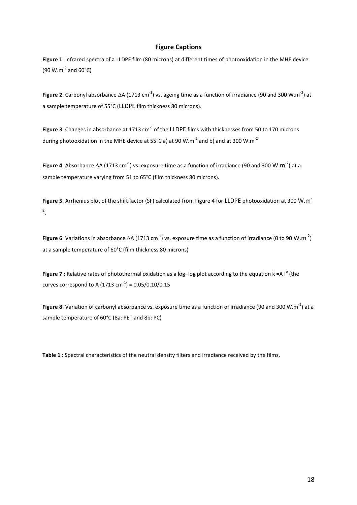### **Figure Captions**

**Figure 1**: Infrared spectra of a LLDPE film (80 microns) at different times of photooxidation in the MHE device  $(90 W.m<sup>-2</sup>$  and  $60°C)$ 

**Figure 2**: Carbonyl absorbance  $\Delta A$  (1713 cm<sup>-1</sup>) vs. ageing time as a function of irradiance (90 and 300 W.m<sup>-2</sup>) at a sample temperature of 55°C (LLDPE film thickness 80 microns).

**Figure 3**: Changes in absorbance at 1713 cm<sup>-1</sup> of the LLDPE films with thicknesses from 50 to 170 microns during photooxidation in the MHE device at 55°C a) at 90 W.m<sup>-2</sup> and b) and at 300 W.m<sup>-2</sup>

**Figure 4**: Absorbance  $\Delta A$  (1713 cm<sup>-1</sup>) vs. exposure time as a function of irradiance (90 and 300 W.m<sup>-2</sup>) at a sample temperature varying from 51 to 65°C (film thickness 80 microns).

**Figure 5**: Arrhenius plot of the shift factor (SF) calculated from Figure 4 for LLDPE photooxidation at 300 W.m-2 .

**Figure 6**: Variations in absorbance  $\Delta A$  (1713 cm<sup>-1</sup>) vs. exposure time as a function of irradiance (0 to 90 W.m<sup>-2</sup>) at a sample temperature of 60°C (film thickness 80 microns)

**Figure 7** : Relative rates of photothermal oxidation as a log-log plot according to the equation  $k = A \mid P$  (the curves correspond to A (1713 cm<sup>-1</sup>) = 0.05/0.10/0.15

Figure 8: Variation of carbonyl absorbance vs. exposure time as a function of irradiance (90 and 300 W.m<sup>-2</sup>) at a sample temperature of 60°C (8a: PET and 8b: PC)

**Table 1** : Spectral characteristics of the neutral density filters and irradiance received by the films.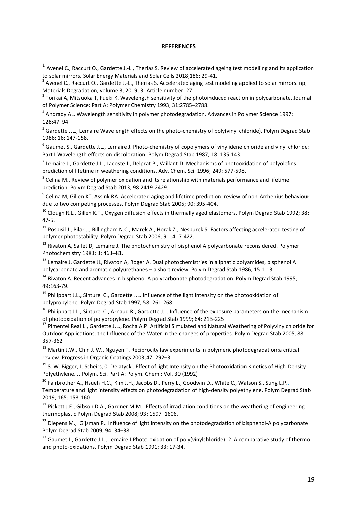#### **REFERENCES**

j

<sup>5</sup> Gardette J.L., Lemaire Wavelength effects on the photo-chemistry of poly(vinyl chloride). Polym Degrad Stab 1986; 16: 147-158.

6 Gaumet S., Gardette J.L., Lemaire J. Photo-chemistry of copolymers of vinylidene chloride and vinyl chloride: Part I-Wavelength effects on discoloration. Polym Degrad Stab 1987; 18: 135-143.

<sup>7</sup> Lemaire J., Gardette J.L., Lacoste J., Delprat P., Vaillant D. Mechanisms of photooxidation of polyolefins : prediction of lifetime in weathering conditions. Adv. Chem. Sci. 1996; 249: 577-598.

 $^8$  Celina M.. Review of polymer oxidation and its relationship with materials performance and lifetime prediction. Polym Degrad Stab 2013; 98:2419-2429.

<sup>9</sup> Celina M, Gillen KT, Assink RA. Accelerated aging and lifetime prediction: review of non-Arrhenius behaviour due to two competing processes. Polym Degrad Stab 2005; 90: 395-404.

<sup>10</sup> Clough R.L., Gillen K.T., Oxygen diffusion effects in thermally aged elastomers. Polym Degrad Stab 1992; 38: 47-5.

 $11$  Pospisil J., Pilar J., Billingham N.C., Marek A., Horak Z., Nespurek S. Factors affecting accelerated testing of polymer photostability. Polym Degrad Stab 2006; 91 :417-422.

<sup>12</sup> Rivaton A, Sallet D, Lemaire J. The photochemistry of bisphenol A polycarbonate reconsidered. Polymer Photochemistry 1983; 3: 463–81.

 $14$  Rivaton A. Recent advances in bisphenol A polycarbonate photodegradation. Polym Degrad Stab 1995; 49:163-79.

<sup>15</sup> Philippart J.L., Sinturel C., Gardette J.L. Influence of the light intensity on the photooxidation of polypropylene. Polym Degrad Stab 1997; 58: 261-268

<sup>16</sup> Philippart J.L., Sinturel C., Arnaud R., Gardette J.L. Influence of the exposure parameters on the mechanism of photooxidation of polypropylene. Polym Degrad Stab 1999; 64: 213-225

<sup>17</sup> Pimentel Real L., Gardette J.L., Rocha A.P. Artificial Simulated and Natural Weathering of Polyvinylchloride for Outdoor Applications: the Influence of the Water in the changes of properties. Polym Degrad Stab 2005, 88, 357-362

<sup>18</sup> Martin J.W., Chin J. W., Nguyen T. Reciprocity law experiments in polymeric photodegradation:a critical review. Progress in Organic Coatings 2003;47: 292–311

 $19$  S. W. Bigger, J. Scheirs, O. Delatycki. Effect of light Intensity on the Photooxidation Kinetics of High-Density Polyethylene. J. Polym. Sci. Part A: Polym. Chem.: Vol. 30 (1992)

<sup>20</sup> Fairbrother A., Hsueh H.C., Kim J.H., Jacobs D., Perry L., Goodwin D., White C., Watson S., Sung L.P.. Temperature and light intensity effects on photodegradation of high-density polyethylene. Polym Degrad Stab 2019; 165: 153-160

<sup>21</sup> Pickett J.E., Gibson D.A., Gardner M.M.. Effects of irradiation conditions on the weathering of engineering thermoplastic Polym Degrad Stab 2008; 93: 1597–1606.

<sup>22</sup> Diepens M., Gijsman P.. Influence of light intensity on the photodegradation of bisphenol-A polycarbonate. Polym Degrad Stab 2009; 94: 34–38.

<sup>23</sup> Gaumet J., Gardette J.L., Lemaire J.Photo-oxidation of poly(vinylchloride): 2. A comparative study of thermoand photo-oxidations. Polym Degrad Stab 1991; 33: 17-34.

 $1$  Avenel C., Raccurt O., Gardette J.-L., Therias S. Review of accelerated ageing test modelling and its application to solar mirrors. Solar Energy Materials and Solar Cells 2018;186: 29-41.

<sup>&</sup>lt;sup>2</sup> Avenel C., Raccurt O., Gardette J.-L., Therias S. Accelerated aging test modeling applied to solar mirrors. npj Materials Degradation, volume 3, 2019; 3: Article number: 27

 $3$  Torikai A, Mitsuoka T, Fueki K. Wavelength sensitivity of the photoinduced reaction in polycarbonate. Journal of Polymer Science: Part A: Polymer Chemistry 1993; 31:2785–2788.

<sup>&</sup>lt;sup>4</sup> Andrady AL. Wavelength sensitivity in polymer photodegradation. Advances in Polymer Science 1997; 128:47–94.

<sup>&</sup>lt;sup>13</sup> Lemaire J, Gardette JL, Rivaton A, Roger A. Dual photochemistries in aliphatic polyamides, bisphenol A polycarbonate and aromatic polyurethanes – a short review. Polym Degrad Stab 1986; 15:1-13.